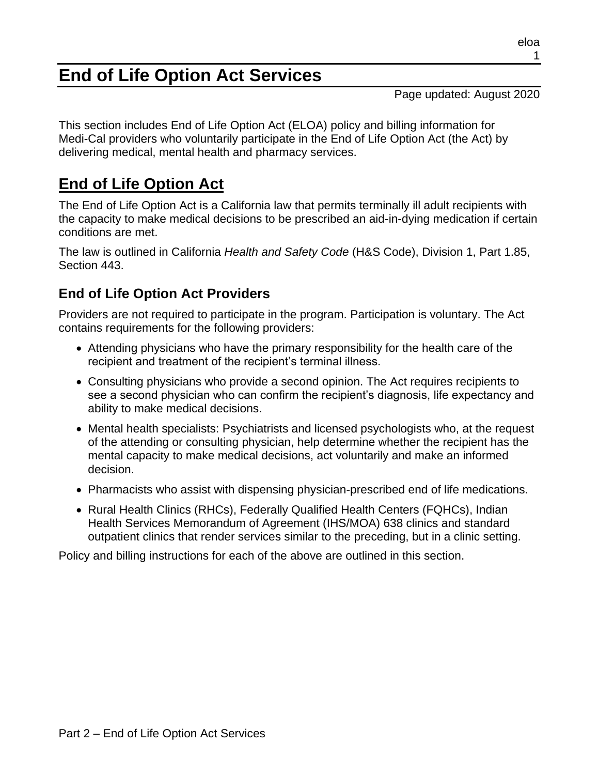# **End of Life Option Act Services**

Page updated: August 2020

This section includes End of Life Option Act (ELOA) policy and billing information for Medi-Cal providers who voluntarily participate in the End of Life Option Act (the Act) by delivering medical, mental health and pharmacy services.

# **End of Life Option Act**

The End of Life Option Act is a California law that permits terminally ill adult recipients with the capacity to make medical decisions to be prescribed an aid-in-dying medication if certain conditions are met.

The law is outlined in California *Health and Safety Code* (H&S Code), Division 1, Part 1.85, Section 443.

# **End of Life Option Act Providers**

Providers are not required to participate in the program. Participation is voluntary. The Act contains requirements for the following providers:

- Attending physicians who have the primary responsibility for the health care of the recipient and treatment of the recipient's terminal illness.
- Consulting physicians who provide a second opinion. The Act requires recipients to see a second physician who can confirm the recipient's diagnosis, life expectancy and ability to make medical decisions.
- Mental health specialists: Psychiatrists and licensed psychologists who, at the request of the attending or consulting physician, help determine whether the recipient has the mental capacity to make medical decisions, act voluntarily and make an informed decision.
- Pharmacists who assist with dispensing physician-prescribed end of life medications.
- Rural Health Clinics (RHCs), Federally Qualified Health Centers (FQHCs), Indian Health Services Memorandum of Agreement (IHS/MOA) 638 clinics and standard outpatient clinics that render services similar to the preceding, but in a clinic setting.

Policy and billing instructions for each of the above are outlined in this section.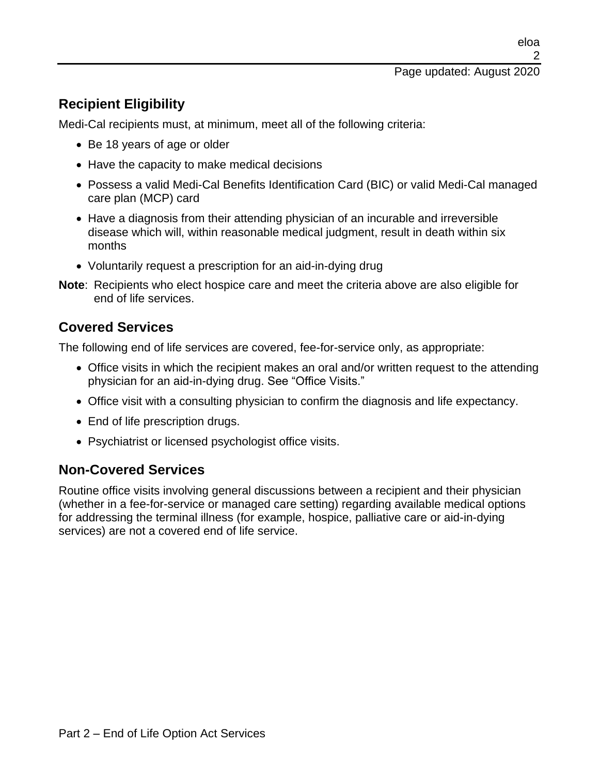# **Recipient Eligibility**

Medi-Cal recipients must, at minimum, meet all of the following criteria:

- Be 18 years of age or older
- Have the capacity to make medical decisions
- Possess a valid Medi-Cal Benefits Identification Card (BIC) or valid Medi-Cal managed care plan (MCP) card
- Have a diagnosis from their attending physician of an incurable and irreversible disease which will, within reasonable medical judgment, result in death within six months
- Voluntarily request a prescription for an aid-in-dying drug
- **Note**: Recipients who elect hospice care and meet the criteria above are also eligible for end of life services.

### **Covered Services**

The following end of life services are covered, fee-for-service only, as appropriate:

- Office visits in which the recipient makes an oral and/or written request to the attending physician for an aid-in-dying drug. See "Office Visits."
- Office visit with a consulting physician to confirm the diagnosis and life expectancy.
- End of life prescription drugs.
- Psychiatrist or licensed psychologist office visits.

#### **Non-Covered Services**

Routine office visits involving general discussions between a recipient and their physician (whether in a fee-for-service or managed care setting) regarding available medical options for addressing the terminal illness (for example, hospice, palliative care or aid-in-dying services) are not a covered end of life service.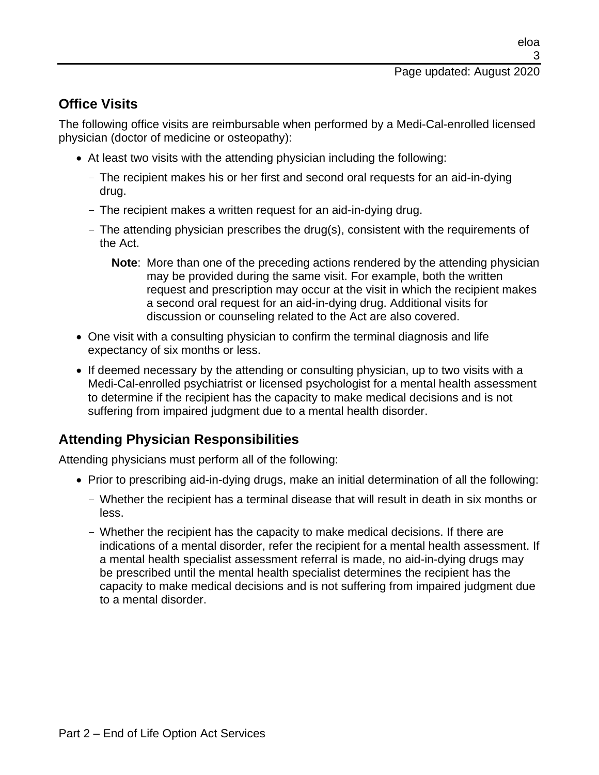#### Page updated: August 2020

# **Office Visits**

The following office visits are reimbursable when performed by a Medi-Cal-enrolled licensed physician (doctor of medicine or osteopathy):

- At least two visits with the attending physician including the following:
	- The recipient makes his or her first and second oral requests for an aid-in-dying drug.
	- The recipient makes a written request for an aid-in-dying drug.
	- The attending physician prescribes the drug(s), consistent with the requirements of the Act.
		- **Note**: More than one of the preceding actions rendered by the attending physician may be provided during the same visit. For example, both the written request and prescription may occur at the visit in which the recipient makes a second oral request for an aid-in-dying drug. Additional visits for discussion or counseling related to the Act are also covered.
- One visit with a consulting physician to confirm the terminal diagnosis and life expectancy of six months or less.
- If deemed necessary by the attending or consulting physician, up to two visits with a Medi-Cal-enrolled psychiatrist or licensed psychologist for a mental health assessment to determine if the recipient has the capacity to make medical decisions and is not suffering from impaired judgment due to a mental health disorder.

# **Attending Physician Responsibilities**

Attending physicians must perform all of the following:

- Prior to prescribing aid-in-dying drugs, make an initial determination of all the following:
	- Whether the recipient has a terminal disease that will result in death in six months or less.
	- Whether the recipient has the capacity to make medical decisions. If there are indications of a mental disorder, refer the recipient for a mental health assessment. If a mental health specialist assessment referral is made, no aid-in-dying drugs may be prescribed until the mental health specialist determines the recipient has the capacity to make medical decisions and is not suffering from impaired judgment due to a mental disorder.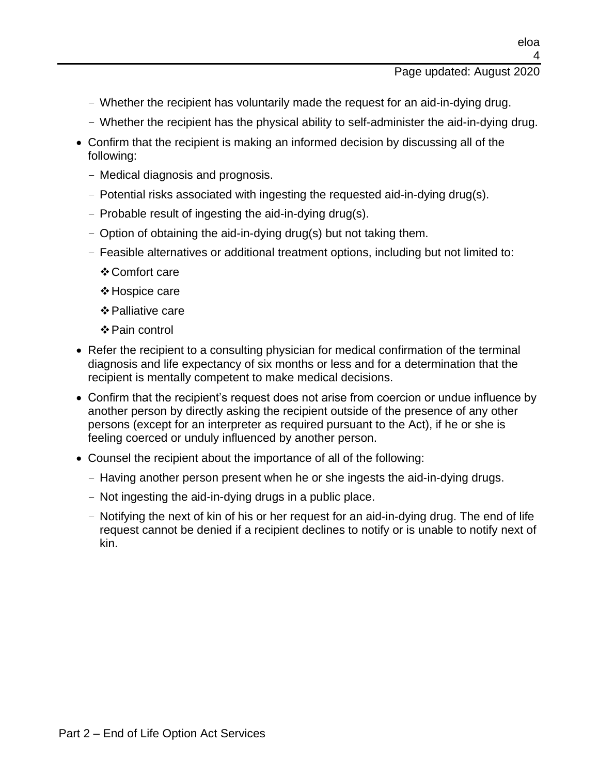eloa

- Whether the recipient has voluntarily made the request for an aid-in-dying drug.
- Whether the recipient has the physical ability to self-administer the aid-in-dying drug.
- Confirm that the recipient is making an informed decision by discussing all of the following:
	- Medical diagnosis and prognosis.
	- Potential risks associated with ingesting the requested aid-in-dying drug(s).
	- Probable result of ingesting the aid-in-dying drug(s).
	- Option of obtaining the aid-in-dying drug(s) but not taking them.
	- Feasible alternatives or additional treatment options, including but not limited to:
		- ❖Comfort care
		- ❖Hospice care
		- ❖Palliative care
		- ❖Pain control
- Refer the recipient to a consulting physician for medical confirmation of the terminal diagnosis and life expectancy of six months or less and for a determination that the recipient is mentally competent to make medical decisions.
- Confirm that the recipient's request does not arise from coercion or undue influence by another person by directly asking the recipient outside of the presence of any other persons (except for an interpreter as required pursuant to the Act), if he or she is feeling coerced or unduly influenced by another person.
- Counsel the recipient about the importance of all of the following:
	- Having another person present when he or she ingests the aid-in-dying drugs.
	- Not ingesting the aid-in-dying drugs in a public place.
	- Notifying the next of kin of his or her request for an aid-in-dying drug. The end of life request cannot be denied if a recipient declines to notify or is unable to notify next of kin.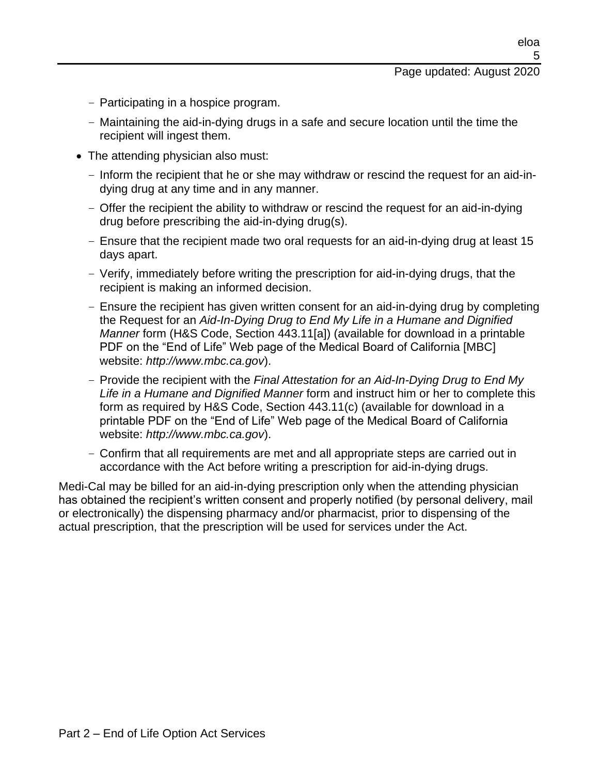eloa 5

- Participating in a hospice program.
- Maintaining the aid-in-dying drugs in a safe and secure location until the time the recipient will ingest them.
- The attending physician also must:
	- Inform the recipient that he or she may withdraw or rescind the request for an aid-indying drug at any time and in any manner.
	- Offer the recipient the ability to withdraw or rescind the request for an aid-in-dying drug before prescribing the aid-in-dying drug(s).
	- Ensure that the recipient made two oral requests for an aid-in-dying drug at least 15 days apart.
	- Verify, immediately before writing the prescription for aid-in-dying drugs, that the recipient is making an informed decision.
	- Ensure the recipient has given written consent for an aid-in-dying drug by completing the Request for an *Aid-In-Dying Drug to End My Life in a Humane and Dignified Manner* form (H&S Code, Section 443.11[a]) (available for download in a printable PDF on the "End of Life" Web page of the Medical Board of California [MBC] website: *http://www.mbc.ca.gov*).
	- Provide the recipient with the *Final Attestation for an Aid-In-Dying Drug to End My Life in a Humane and Dignified Manner* form and instruct him or her to complete this form as required by H&S Code, Section 443.11(c) (available for download in a printable PDF on the "End of Life" Web page of the Medical Board of California website: *http://www.mbc.ca.gov*).
	- Confirm that all requirements are met and all appropriate steps are carried out in accordance with the Act before writing a prescription for aid-in-dying drugs.

Medi-Cal may be billed for an aid-in-dying prescription only when the attending physician has obtained the recipient's written consent and properly notified (by personal delivery, mail or electronically) the dispensing pharmacy and/or pharmacist, prior to dispensing of the actual prescription, that the prescription will be used for services under the Act.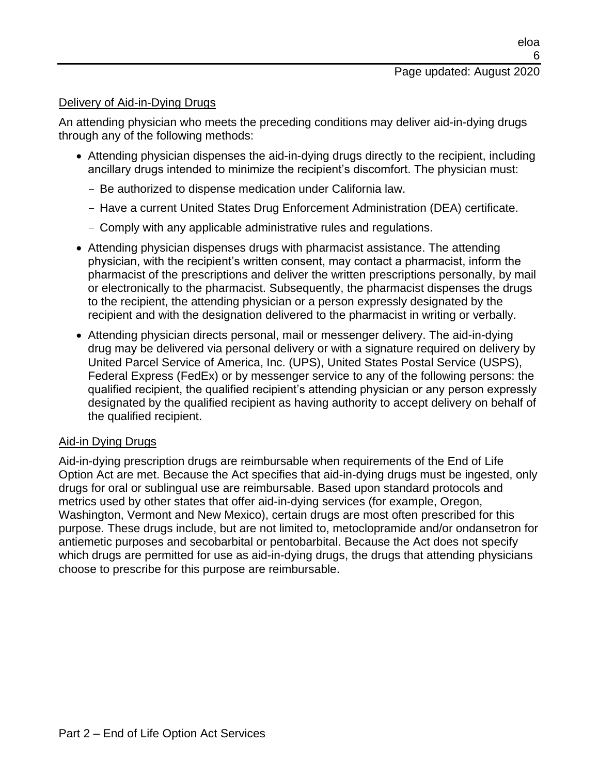#### Delivery of Aid-in-Dying Drugs

An attending physician who meets the preceding conditions may deliver aid-in-dying drugs through any of the following methods:

- Attending physician dispenses the aid-in-dying drugs directly to the recipient, including ancillary drugs intended to minimize the recipient's discomfort. The physician must:
	- Be authorized to dispense medication under California law.
	- Have a current United States Drug Enforcement Administration (DEA) certificate.
	- Comply with any applicable administrative rules and regulations.
- Attending physician dispenses drugs with pharmacist assistance. The attending physician, with the recipient's written consent, may contact a pharmacist, inform the pharmacist of the prescriptions and deliver the written prescriptions personally, by mail or electronically to the pharmacist. Subsequently, the pharmacist dispenses the drugs to the recipient, the attending physician or a person expressly designated by the recipient and with the designation delivered to the pharmacist in writing or verbally.
- Attending physician directs personal, mail or messenger delivery. The aid-in-dying drug may be delivered via personal delivery or with a signature required on delivery by United Parcel Service of America, Inc. (UPS), United States Postal Service (USPS), Federal Express (FedEx) or by messenger service to any of the following persons: the qualified recipient, the qualified recipient's attending physician or any person expressly designated by the qualified recipient as having authority to accept delivery on behalf of the qualified recipient.

#### Aid-in Dying Drugs

Aid-in-dying prescription drugs are reimbursable when requirements of the End of Life Option Act are met. Because the Act specifies that aid-in-dying drugs must be ingested, only drugs for oral or sublingual use are reimbursable. Based upon standard protocols and metrics used by other states that offer aid-in-dying services (for example, Oregon, Washington, Vermont and New Mexico), certain drugs are most often prescribed for this purpose. These drugs include, but are not limited to, metoclopramide and/or ondansetron for antiemetic purposes and secobarbital or pentobarbital. Because the Act does not specify which drugs are permitted for use as aid-in-dying drugs, the drugs that attending physicians choose to prescribe for this purpose are reimbursable.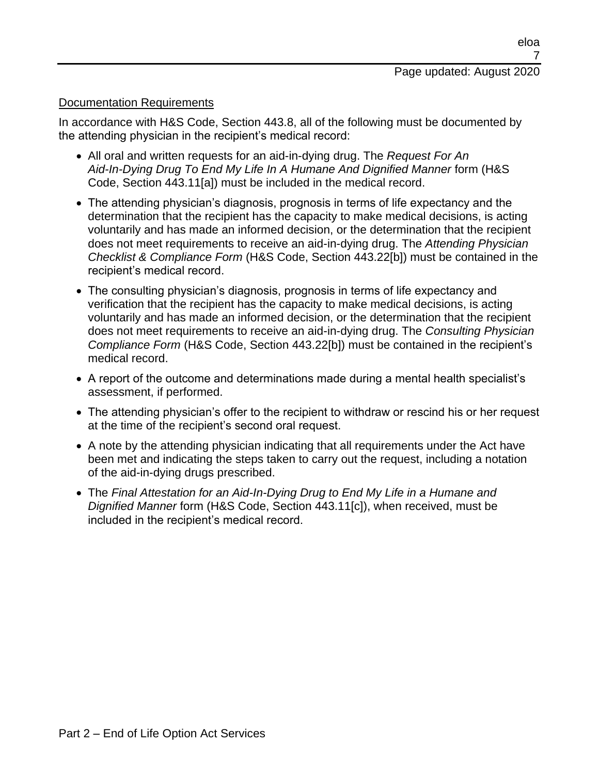#### Documentation Requirements

In accordance with H&S Code, Section 443.8, all of the following must be documented by the attending physician in the recipient's medical record:

- All oral and written requests for an aid-in-dying drug. The *Request For An Aid-In-Dying Drug To End My Life In A Humane And Dignified Manner* form (H&S Code, Section 443.11[a]) must be included in the medical record.
- The attending physician's diagnosis, prognosis in terms of life expectancy and the determination that the recipient has the capacity to make medical decisions, is acting voluntarily and has made an informed decision, or the determination that the recipient does not meet requirements to receive an aid-in-dying drug. The *Attending Physician Checklist & Compliance Form* (H&S Code, Section 443.22[b]) must be contained in the recipient's medical record.
- The consulting physician's diagnosis, prognosis in terms of life expectancy and verification that the recipient has the capacity to make medical decisions, is acting voluntarily and has made an informed decision, or the determination that the recipient does not meet requirements to receive an aid-in-dying drug. The *Consulting Physician Compliance Form* (H&S Code, Section 443.22[b]) must be contained in the recipient's medical record.
- A report of the outcome and determinations made during a mental health specialist's assessment, if performed.
- The attending physician's offer to the recipient to withdraw or rescind his or her request at the time of the recipient's second oral request.
- A note by the attending physician indicating that all requirements under the Act have been met and indicating the steps taken to carry out the request, including a notation of the aid-in-dying drugs prescribed.
- The *Final Attestation for an Aid-In-Dying Drug to End My Life in a Humane and Dignified Manner* form (H&S Code, Section 443.11[c]), when received, must be included in the recipient's medical record.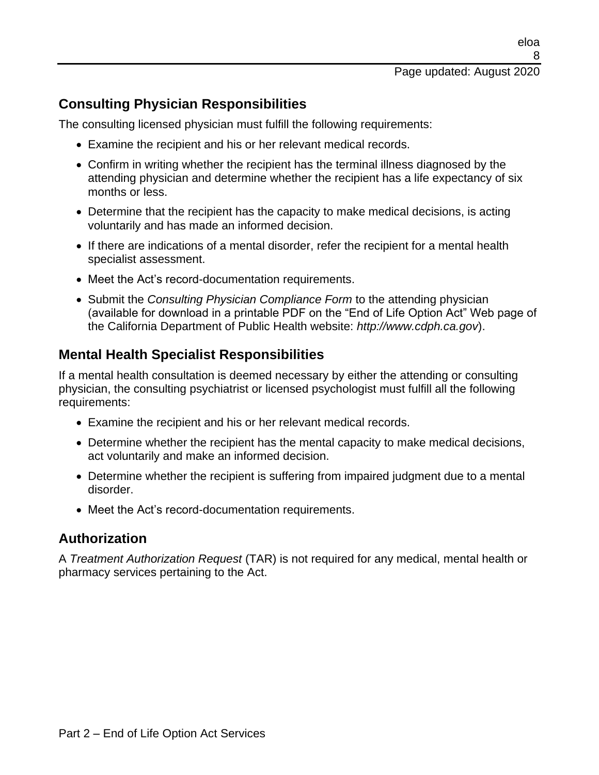### **Consulting Physician Responsibilities**

The consulting licensed physician must fulfill the following requirements:

- Examine the recipient and his or her relevant medical records.
- Confirm in writing whether the recipient has the terminal illness diagnosed by the attending physician and determine whether the recipient has a life expectancy of six months or less.
- Determine that the recipient has the capacity to make medical decisions, is acting voluntarily and has made an informed decision.
- If there are indications of a mental disorder, refer the recipient for a mental health specialist assessment.
- Meet the Act's record-documentation requirements.
- Submit the *Consulting Physician Compliance Form* to the attending physician (available for download in a printable PDF on the "End of Life Option Act" Web page of the California Department of Public Health website: *http://www.cdph.ca.gov*).

#### **Mental Health Specialist Responsibilities**

If a mental health consultation is deemed necessary by either the attending or consulting physician, the consulting psychiatrist or licensed psychologist must fulfill all the following requirements:

- Examine the recipient and his or her relevant medical records.
- Determine whether the recipient has the mental capacity to make medical decisions, act voluntarily and make an informed decision.
- Determine whether the recipient is suffering from impaired judgment due to a mental disorder.
- Meet the Act's record-documentation requirements.

#### **Authorization**

A *Treatment Authorization Request* (TAR) is not required for any medical, mental health or pharmacy services pertaining to the Act.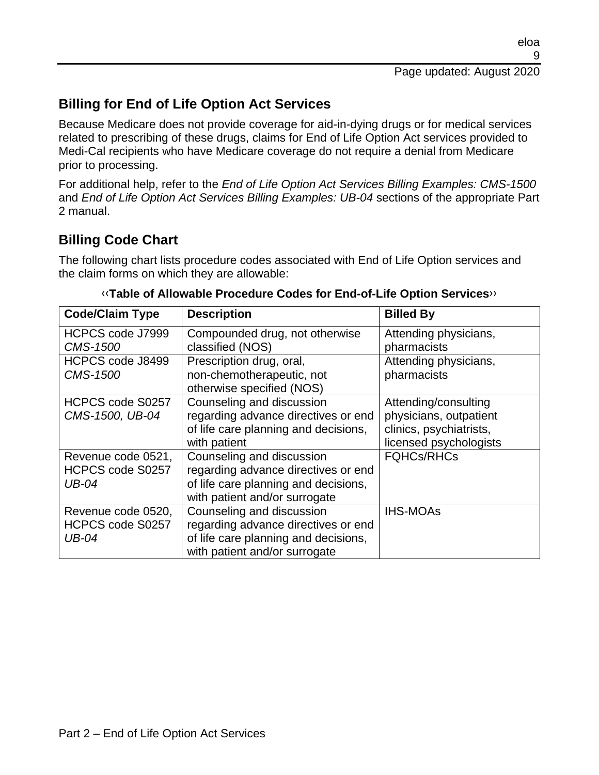### **Billing for End of Life Option Act Services**

Because Medicare does not provide coverage for aid-in-dying drugs or for medical services related to prescribing of these drugs, claims for End of Life Option Act services provided to Medi-Cal recipients who have Medicare coverage do not require a denial from Medicare prior to processing.

For additional help, refer to the *End of Life Option Act Services Billing Examples: CMS-1500* and *End of Life Option Act Services Billing Examples: UB-04* sections of the appropriate Part 2 manual.

### **Billing Code Chart**

The following chart lists procedure codes associated with End of Life Option services and the claim forms on which they are allowable:

| <b>Code/Claim Type</b> | <b>Description</b>                   | <b>Billed By</b>        |
|------------------------|--------------------------------------|-------------------------|
| HCPCS code J7999       | Compounded drug, not otherwise       | Attending physicians,   |
| <b>CMS-1500</b>        | classified (NOS)                     | pharmacists             |
| HCPCS code J8499       | Prescription drug, oral,             | Attending physicians,   |
| <b>CMS-1500</b>        | non-chemotherapeutic, not            | pharmacists             |
|                        | otherwise specified (NOS)            |                         |
| HCPCS code S0257       | Counseling and discussion            | Attending/consulting    |
| CMS-1500, UB-04        | regarding advance directives or end  | physicians, outpatient  |
|                        | of life care planning and decisions, | clinics, psychiatrists, |
|                        | with patient                         | licensed psychologists  |
| Revenue code 0521,     | Counseling and discussion            | <b>FQHCs/RHCs</b>       |
| HCPCS code S0257       | regarding advance directives or end  |                         |
| <b>UB-04</b>           | of life care planning and decisions, |                         |
|                        | with patient and/or surrogate        |                         |
| Revenue code 0520,     | Counseling and discussion            | <b>IHS-MOAs</b>         |
| HCPCS code S0257       | regarding advance directives or end  |                         |
| <b>UB-04</b>           | of life care planning and decisions, |                         |
|                        | with patient and/or surrogate        |                         |

[‹‹](#page-15-0)**Table of Allowable Procedure Codes for End-of-Life Option Services**[››](#page-15-1)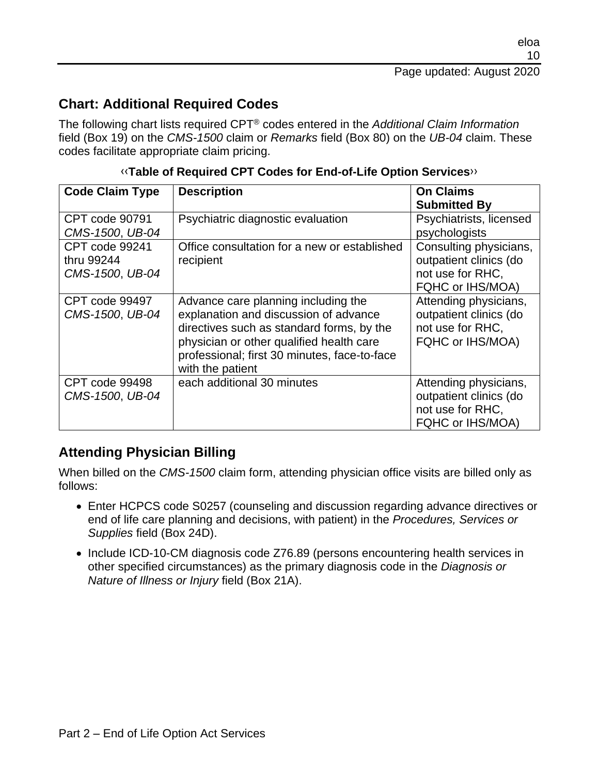#### **Chart: Additional Required Codes**

The following chart lists required CPT® codes entered in the *Additional Claim Information* field (Box 19) on the *CMS-1500* claim or *Remarks* field (Box 80) on the *UB-04* claim. These codes facilitate appropriate claim pricing.

| <b>Code Claim Type</b> | <b>Description</b>                           | <b>On Claims</b>        |
|------------------------|----------------------------------------------|-------------------------|
|                        |                                              | <b>Submitted By</b>     |
| <b>CPT</b> code 90791  | Psychiatric diagnostic evaluation            | Psychiatrists, licensed |
| CMS-1500, UB-04        |                                              | psychologists           |
| CPT code 99241         | Office consultation for a new or established | Consulting physicians,  |
| thru 99244             | recipient                                    | outpatient clinics (do  |
| CMS-1500, UB-04        |                                              | not use for RHC,        |
|                        |                                              | FQHC or IHS/MOA)        |
| CPT code 99497         | Advance care planning including the          | Attending physicians,   |
| CMS-1500, UB-04        | explanation and discussion of advance        | outpatient clinics (do  |
|                        | directives such as standard forms, by the    | not use for RHC,        |
|                        | physician or other qualified health care     | FQHC or IHS/MOA)        |
|                        | professional; first 30 minutes, face-to-face |                         |
|                        | with the patient                             |                         |
| CPT code 99498         | each additional 30 minutes                   | Attending physicians,   |
| CMS-1500, UB-04        |                                              | outpatient clinics (do  |
|                        |                                              | not use for RHC,        |
|                        |                                              | FQHC or IHS/MOA)        |

[‹‹](#page-15-0)**Table of Required CPT Codes for End-of-Life Option Services**[››](#page-15-1)

### **Attending Physician Billing**

When billed on the *CMS-1500* claim form, attending physician office visits are billed only as follows:

- Enter HCPCS code S0257 (counseling and discussion regarding advance directives or end of life care planning and decisions, with patient) in the *Procedures, Services or Supplies* field (Box 24D).
- Include ICD-10-CM diagnosis code Z76.89 (persons encountering health services in other specified circumstances) as the primary diagnosis code in the *Diagnosis or Nature of Illness or Injury* field (Box 21A).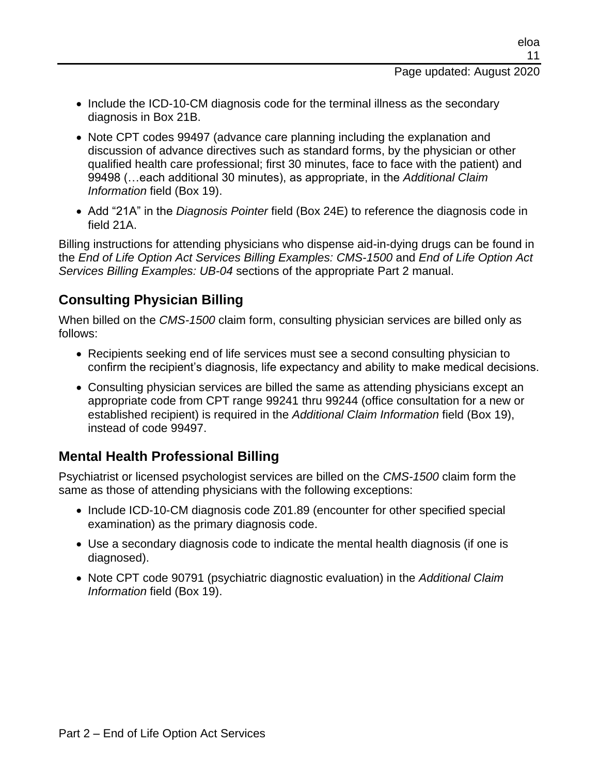- Include the ICD-10-CM diagnosis code for the terminal illness as the secondary diagnosis in Box 21B.
- Note CPT codes 99497 (advance care planning including the explanation and discussion of advance directives such as standard forms, by the physician or other qualified health care professional; first 30 minutes, face to face with the patient) and 99498 (…each additional 30 minutes), as appropriate, in the *Additional Claim Information* field (Box 19).
- Add "21A" in the *Diagnosis Pointer* field (Box 24E) to reference the diagnosis code in field 21A.

Billing instructions for attending physicians who dispense aid-in-dying drugs can be found in the *End of Life Option Act Services Billing Examples: CMS-1500* and *End of Life Option Act Services Billing Examples: UB-04* sections of the appropriate Part 2 manual.

## **Consulting Physician Billing**

When billed on the *CMS-1500* claim form, consulting physician services are billed only as follows:

- Recipients seeking end of life services must see a second consulting physician to confirm the recipient's diagnosis, life expectancy and ability to make medical decisions.
- Consulting physician services are billed the same as attending physicians except an appropriate code from CPT range 99241 thru 99244 (office consultation for a new or established recipient) is required in the *Additional Claim Information* field (Box 19), instead of code 99497.

# **Mental Health Professional Billing**

Psychiatrist or licensed psychologist services are billed on the *CMS-1500* claim form the same as those of attending physicians with the following exceptions:

- Include ICD-10-CM diagnosis code Z01.89 (encounter for other specified special examination) as the primary diagnosis code.
- Use a secondary diagnosis code to indicate the mental health diagnosis (if one is diagnosed).
- Note CPT code 90791 (psychiatric diagnostic evaluation) in the *Additional Claim Information* field (Box 19).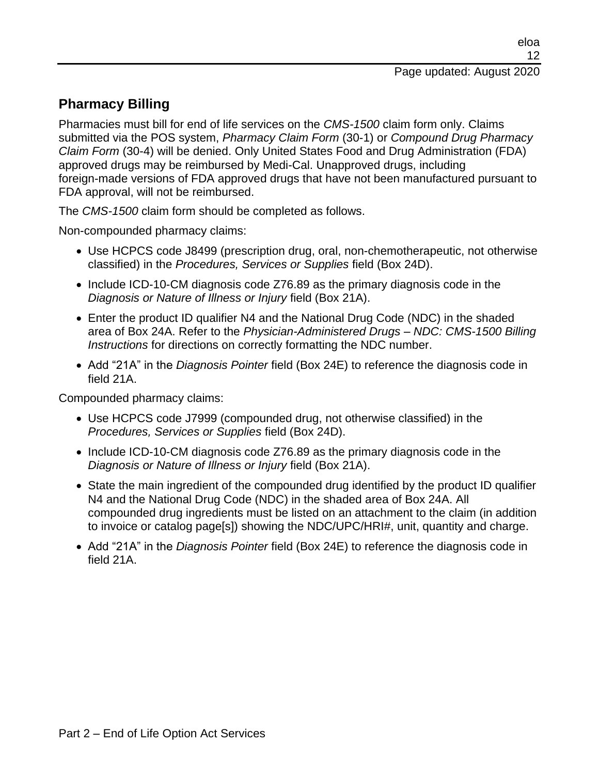# **Pharmacy Billing**

Pharmacies must bill for end of life services on the *CMS-1500* claim form only. Claims submitted via the POS system, *Pharmacy Claim Form* (30-1) or *Compound Drug Pharmacy Claim Form* (30-4) will be denied. Only United States Food and Drug Administration (FDA) approved drugs may be reimbursed by Medi-Cal. Unapproved drugs, including foreign-made versions of FDA approved drugs that have not been manufactured pursuant to FDA approval, will not be reimbursed.

The *CMS-1500* claim form should be completed as follows.

Non-compounded pharmacy claims:

- Use HCPCS code J8499 (prescription drug, oral, non-chemotherapeutic, not otherwise classified) in the *Procedures, Services or Supplies* field (Box 24D).
- Include ICD-10-CM diagnosis code Z76.89 as the primary diagnosis code in the *Diagnosis or Nature of Illness or Injury* field (Box 21A).
- Enter the product ID qualifier N4 and the National Drug Code (NDC) in the shaded area of Box 24A. Refer to the *Physician-Administered Drugs – NDC: CMS-1500 Billing Instructions* for directions on correctly formatting the NDC number.
- Add "21A" in the *Diagnosis Pointer* field (Box 24E) to reference the diagnosis code in field 21A.

Compounded pharmacy claims:

- Use HCPCS code J7999 (compounded drug, not otherwise classified) in the *Procedures, Services or Supplies* field (Box 24D).
- Include ICD-10-CM diagnosis code Z76.89 as the primary diagnosis code in the *Diagnosis or Nature of Illness or Injury* field (Box 21A).
- State the main ingredient of the compounded drug identified by the product ID qualifier N4 and the National Drug Code (NDC) in the shaded area of Box 24A. All compounded drug ingredients must be listed on an attachment to the claim (in addition to invoice or catalog page[s]) showing the NDC/UPC/HRI#, unit, quantity and charge.
- Add "21A" in the *Diagnosis Pointer* field (Box 24E) to reference the diagnosis code in field 21A.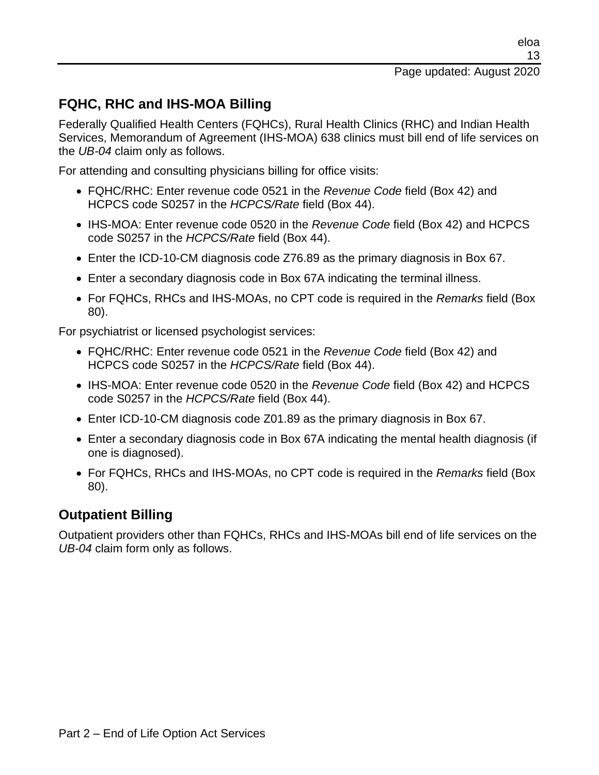### **FQHC, RHC and IHS-MOA Billing**

Federally Qualified Health Centers (FQHCs), Rural Health Clinics (RHC) and Indian Health Services, Memorandum of Agreement (IHS-MOA) 638 clinics must bill end of life services on the *UB-04* claim only as follows.

For attending and consulting physicians billing for office visits:

- FQHC/RHC: Enter revenue code 0521 in the *Revenue Code* field (Box 42) and HCPCS code S0257 in the *HCPCS/Rate* field (Box 44).
- IHS-MOA: Enter revenue code 0520 in the *Revenue Code* field (Box 42) and HCPCS code S0257 in the *HCPCS/Rate* field (Box 44).
- Enter the ICD-10-CM diagnosis code Z76.89 as the primary diagnosis in Box 67.
- Enter a secondary diagnosis code in Box 67A indicating the terminal illness.
- For FQHCs, RHCs and IHS-MOAs, no CPT code is required in the *Remarks* field (Box 80).

For psychiatrist or licensed psychologist services:

- FQHC/RHC: Enter revenue code 0521 in the *Revenue Code* field (Box 42) and HCPCS code S0257 in the *HCPCS/Rate* field (Box 44).
- IHS-MOA: Enter revenue code 0520 in the *Revenue Code* field (Box 42) and HCPCS code S0257 in the *HCPCS/Rate* field (Box 44).
- Enter ICD-10-CM diagnosis code Z01.89 as the primary diagnosis in Box 67.
- Enter a secondary diagnosis code in Box 67A indicating the mental health diagnosis (if one is diagnosed).
- For FQHCs, RHCs and IHS-MOAs, no CPT code is required in the *Remarks* field (Box 80).

#### **Outpatient Billing**

Outpatient providers other than FQHCs, RHCs and IHS-MOAs bill end of life services on the *UB-04* claim form only as follows.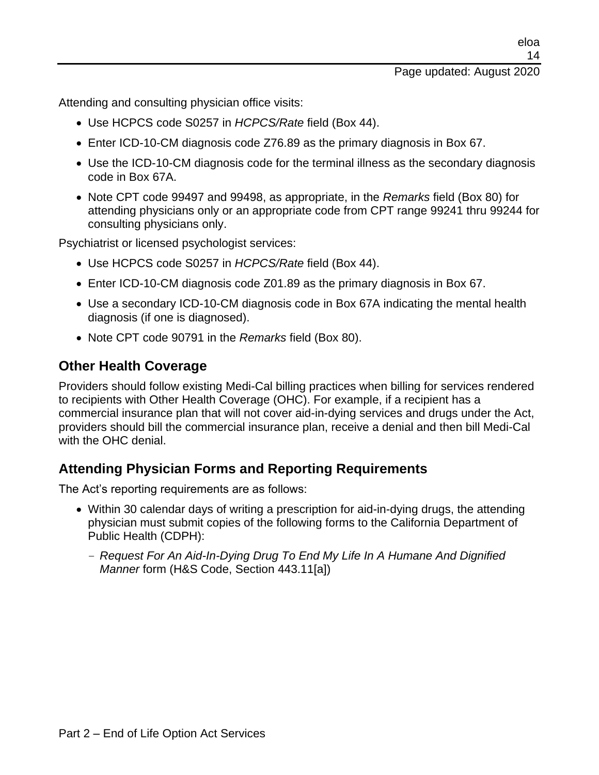Attending and consulting physician office visits:

- Use HCPCS code S0257 in *HCPCS/Rate* field (Box 44).
- Enter ICD-10-CM diagnosis code Z76.89 as the primary diagnosis in Box 67.
- Use the ICD-10-CM diagnosis code for the terminal illness as the secondary diagnosis code in Box 67A.
- Note CPT code 99497 and 99498, as appropriate, in the *Remarks* field (Box 80) for attending physicians only or an appropriate code from CPT range 99241 thru 99244 for consulting physicians only.

Psychiatrist or licensed psychologist services:

- Use HCPCS code S0257 in *HCPCS/Rate* field (Box 44).
- Enter ICD-10-CM diagnosis code Z01.89 as the primary diagnosis in Box 67.
- Use a secondary ICD-10-CM diagnosis code in Box 67A indicating the mental health diagnosis (if one is diagnosed).
- Note CPT code 90791 in the *Remarks* field (Box 80).

#### **Other Health Coverage**

Providers should follow existing Medi-Cal billing practices when billing for services rendered to recipients with Other Health Coverage (OHC). For example, if a recipient has a commercial insurance plan that will not cover aid-in-dying services and drugs under the Act, providers should bill the commercial insurance plan, receive a denial and then bill Medi-Cal with the OHC denial.

### **Attending Physician Forms and Reporting Requirements**

The Act's reporting requirements are as follows:

- Within 30 calendar days of writing a prescription for aid-in-dying drugs, the attending physician must submit copies of the following forms to the California Department of Public Health (CDPH):
	- *Request For An Aid-In-Dying Drug To End My Life In A Humane And Dignified Manner* form (H&S Code, Section 443.11[a])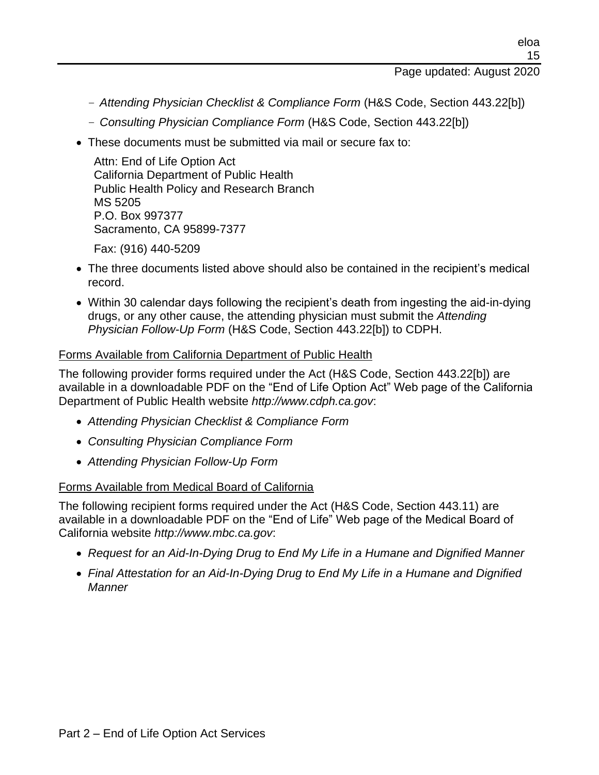#### Page updated: August 2020

- *Attending Physician Checklist & Compliance Form* (H&S Code, Section 443.22[b])
- *Consulting Physician Compliance Form* (H&S Code, Section 443.22[b])
- These documents must be submitted via mail or secure fax to:

Attn: End of Life Option Act California Department of Public Health Public Health Policy and Research Branch MS 5205 P.O. Box 997377 Sacramento, CA 95899-7377

Fax: (916) 440-5209

- The three documents listed above should also be contained in the recipient's medical record.
- Within 30 calendar days following the recipient's death from ingesting the aid-in-dying drugs, or any other cause, the attending physician must submit the *Attending Physician Follow-Up Form* (H&S Code, Section 443.22[b]) to CDPH.

#### Forms Available from California Department of Public Health

The following provider forms required under the Act (H&S Code, Section 443.22[b]) are available in a downloadable PDF on the "End of Life Option Act" Web page of the California Department of Public Health website *http://www.cdph.ca.gov*:

- *Attending Physician Checklist & Compliance Form*
- *Consulting Physician Compliance Form*
- *Attending Physician Follow-Up Form*

#### Forms Available from Medical Board of California

The following recipient forms required under the Act (H&S Code, Section 443.11) are available in a downloadable PDF on the "End of Life" Web page of the Medical Board of California website *http://www.mbc.ca.gov*:

- *Request for an Aid-In-Dying Drug to End My Life in a Humane and Dignified Manner*
- *Final Attestation for an Aid-In-Dying Drug to End My Life in a Humane and Dignified Manner*